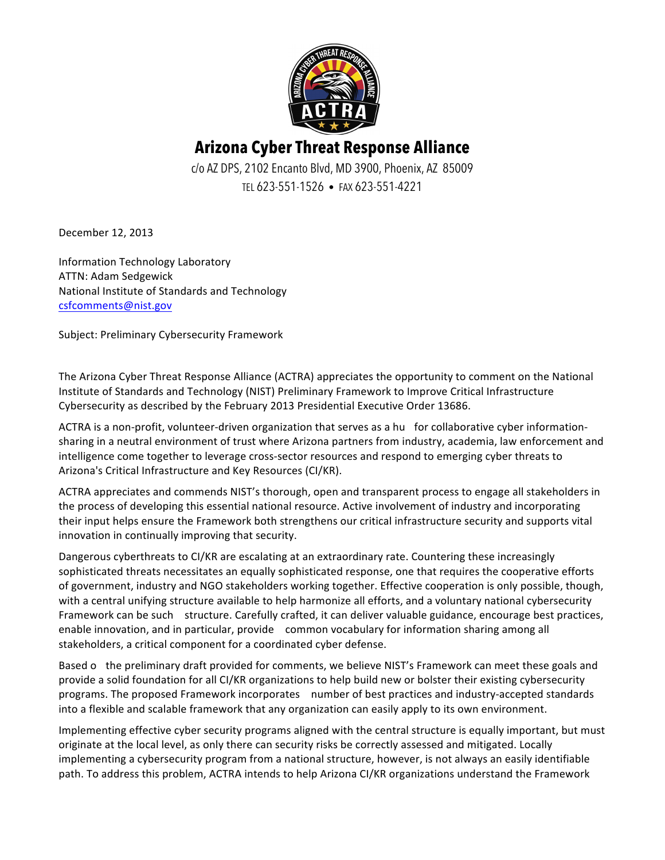

## **Arizona Cyber Threat Response Alliance**

c/o AZ DPS, 2102 Encanto Blvd, MD 3900, Phoenix, AZ 85009 TEL 623-551-1526 • FAX 623-551-4221

December 12, 2013

Information Technology Laboratory ATTN: Adam Sedgewick National Institute of Standards and Technology csfcomments@nist.gov

Subject: Preliminary Cybersecurity Framework

The Arizona Cyber Threat Response Alliance (ACTRA) appreciates the opportunity to comment on the National Institute of Standards and Technology (NIST) Preliminary Framework to Improve Critical Infrastructure Cybersecurity as described by the February 2013 Presidential Executive Order 13686.

ACTRA is a non-profit, volunteer-driven organization that serves as a hu for collaborative cyber informationsharing in a neutral environment of trust where Arizona partners from industry, academia, law enforcement and intelligence come together to leverage cross-sector resources and respond to emerging cyber threats to Arizona's Critical Infrastructure and Key Resources (CI/KR).

ACTRA appreciates and commends NIST's thorough, open and transparent process to engage all stakeholders in the process of developing this essential national resource. Active involvement of industry and incorporating their input helps ensure the Framework both strengthens our critical infrastructure security and supports vital innovation in continually improving that security.

Dangerous cyberthreats to CI/KR are escalating at an extraordinary rate. Countering these increasingly sophisticated threats necessitates an equally sophisticated response, one that requires the cooperative efforts of government, industry and NGO stakeholders working together. Effective cooperation is only possible, though, with a central unifying structure available to help harmonize all efforts, and a voluntary national cybersecurity Framework can be such structure. Carefully crafted, it can deliver valuable guidance, encourage best practices, enable innovation, and in particular, provide common vocabulary for information sharing among all stakeholders, a critical component for a coordinated cyber defense.

Based o the preliminary draft provided for comments, we believe NIST's Framework can meet these goals and provide a solid foundation for all CI/KR organizations to help build new or bolster their existing cybersecurity programs. The proposed Framework incorporates number of best practices and industry-accepted standards into a flexible and scalable framework that any organization can easily apply to its own environment. 

Implementing effective cyber security programs aligned with the central structure is equally important, but must originate at the local level, as only there can security risks be correctly assessed and mitigated. Locally implementing a cybersecurity program from a national structure, however, is not always an easily identifiable path. To address this problem, ACTRA intends to help Arizona CI/KR organizations understand the Framework